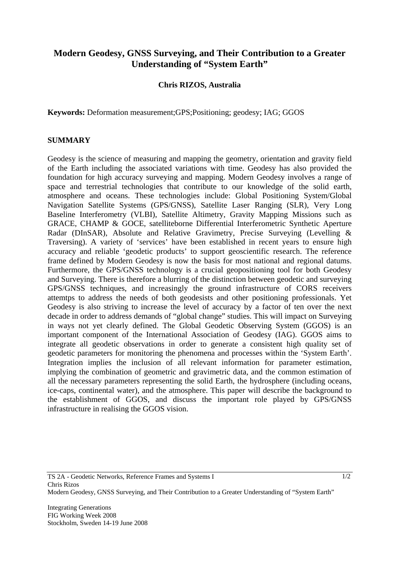## **Modern Geodesy, GNSS Surveying, and Their Contribution to a Greater Understanding of "System Earth"**

## **Chris RIZOS, Australia**

**Keywords:** Deformation measurement;GPS;Positioning; geodesy; IAG; GGOS

## **SUMMARY**

Geodesy is the science of measuring and mapping the geometry, orientation and gravity field of the Earth including the associated variations with time. Geodesy has also provided the foundation for high accuracy surveying and mapping. Modern Geodesy involves a range of space and terrestrial technologies that contribute to our knowledge of the solid earth, atmosphere and oceans. These technologies include: Global Positioning System/Global Navigation Satellite Systems (GPS/GNSS), Satellite Laser Ranging (SLR), Very Long Baseline Interferometry (VLBI), Satellite Altimetry, Gravity Mapping Missions such as GRACE, CHAMP & GOCE, satelliteborne Differential Interferometric Synthetic Aperture Radar (DInSAR), Absolute and Relative Gravimetry, Precise Surveying (Levelling & Traversing). A variety of 'services' have been established in recent years to ensure high accuracy and reliable 'geodetic products' to support geoscientific research. The reference frame defined by Modern Geodesy is now the basis for most national and regional datums. Furthermore, the GPS/GNSS technology is a crucial geopositioning tool for both Geodesy and Surveying. There is therefore a blurring of the distinction between geodetic and surveying GPS/GNSS techniques, and increasingly the ground infrastructure of CORS receivers attemtps to address the needs of both geodesists and other positioning professionals. Yet Geodesy is also striving to increase the level of accuracy by a factor of ten over the next decade in order to address demands of "global change" studies. This will impact on Surveying in ways not yet clearly defined. The Global Geodetic Observing System (GGOS) is an important component of the International Association of Geodesy (IAG). GGOS aims to integrate all geodetic observations in order to generate a consistent high quality set of geodetic parameters for monitoring the phenomena and processes within the 'System Earth'. Integration implies the inclusion of all relevant information for parameter estimation, implying the combination of geometric and gravimetric data, and the common estimation of all the necessary parameters representing the solid Earth, the hydrosphere (including oceans, ice-caps, continental water), and the atmosphere. This paper will describe the background to the establishment of GGOS, and discuss the important role played by GPS/GNSS infrastructure in realising the GGOS vision.